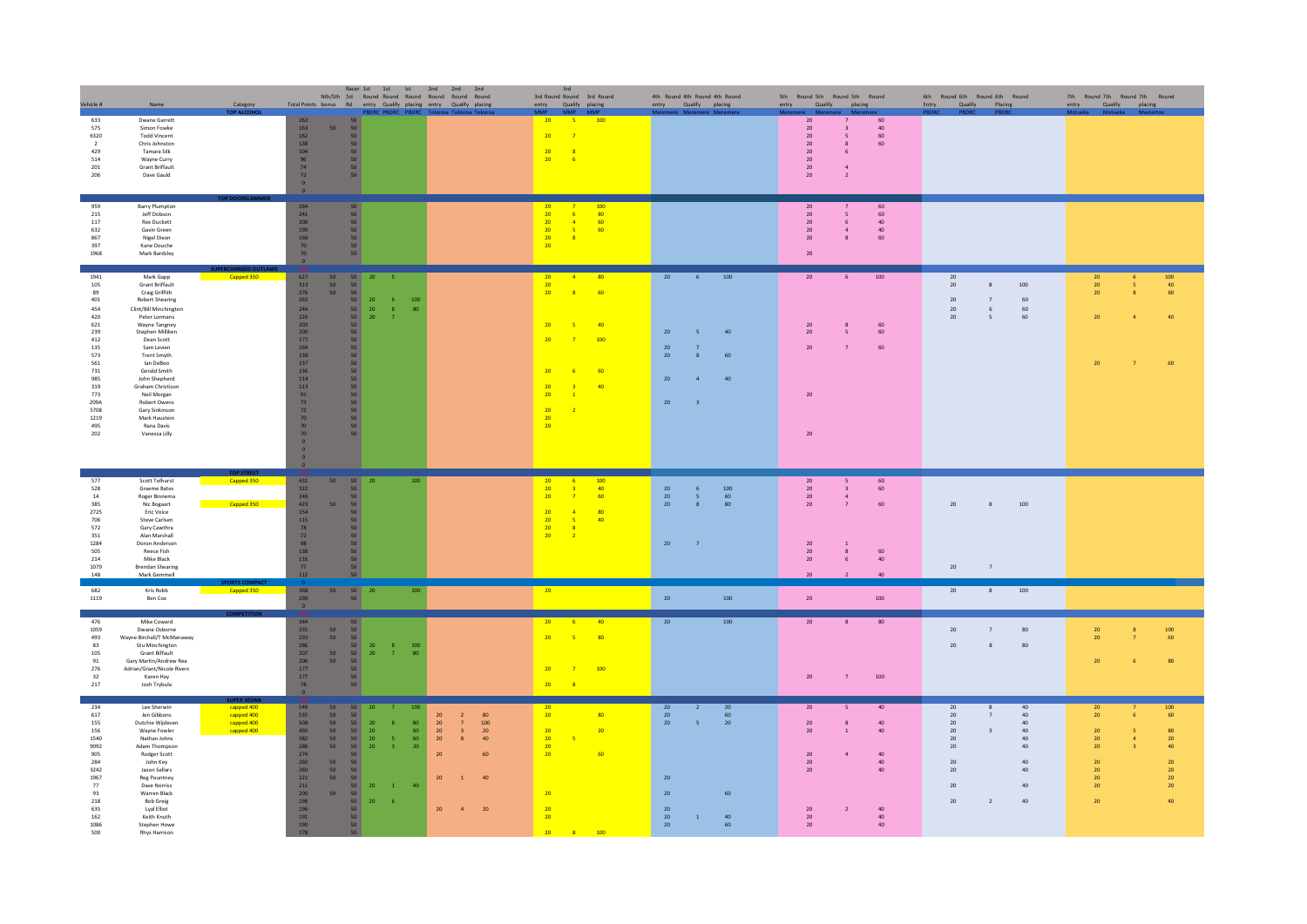| Vehicle #                                                                                                                                          | Name                                                                                                                                                                                                                                                                                                                                                                                         | Category                                                                  |                                                                                                                                                                                                                                                                                                           |                                                                                                                                                                                                                                                    |                                                                                              |                                                                                                                                                      | Racer 1st 1st 1st 2nd 2nd 2nd<br>Nth/Sth 1st Round Round Round Round Round Round<br>Total Points bonus Rd entry Qualify placing entry Qualify placing                                                                                                                   | 3rd                                                                                                                                               | 3rd Round Round 3rd Round<br>entry Qualify placing                                                                                                                                                |                                                                                        | 4th Round 4th Round 4th Round<br>entry Qualify placing                                                  | 5th Round 5th Round 5th Round<br>entry Qualify placing                                    |                                                                        |                                                                 | 6th Round 6th Round 6th Round<br>Entry Qualify Placing                               |                                                                             |                                                                              | 7th Round 7th Round 7th Round<br>entry Qualify placing           |                                                             |                                                                                                       |
|----------------------------------------------------------------------------------------------------------------------------------------------------|----------------------------------------------------------------------------------------------------------------------------------------------------------------------------------------------------------------------------------------------------------------------------------------------------------------------------------------------------------------------------------------------|---------------------------------------------------------------------------|-----------------------------------------------------------------------------------------------------------------------------------------------------------------------------------------------------------------------------------------------------------------------------------------------------------|----------------------------------------------------------------------------------------------------------------------------------------------------------------------------------------------------------------------------------------------------|----------------------------------------------------------------------------------------------|------------------------------------------------------------------------------------------------------------------------------------------------------|-------------------------------------------------------------------------------------------------------------------------------------------------------------------------------------------------------------------------------------------------------------------------|---------------------------------------------------------------------------------------------------------------------------------------------------|---------------------------------------------------------------------------------------------------------------------------------------------------------------------------------------------------|----------------------------------------------------------------------------------------|---------------------------------------------------------------------------------------------------------|-------------------------------------------------------------------------------------------|------------------------------------------------------------------------|-----------------------------------------------------------------|--------------------------------------------------------------------------------------|-----------------------------------------------------------------------------|------------------------------------------------------------------------------|------------------------------------------------------------------|-------------------------------------------------------------|-------------------------------------------------------------------------------------------------------|
| 633<br>575<br>6320<br>$\overline{2}$<br>429<br>514<br>201<br>206                                                                                   | <b>Dwane Garrett</b><br>Simon Fowke<br><b>Todd Vincent</b><br>Chris Johnston<br>Tamara Silk<br>Wayne Curry<br><b>Grant Briffault</b><br>Dave Gauld                                                                                                                                                                                                                                           | TOP ALCOH                                                                 | 262<br>163<br>50 <sub>2</sub><br>162<br>138<br>104<br>96<br>74<br>72<br>$\mathbf{0}^-$                                                                                                                                                                                                                    | 50<br>50<br>50 <sub>2</sub><br>50<br>50 <sub>2</sub><br>50<br>50<br>50                                                                                                                                                                             |                                                                                              | PBDRC PBDRC PBDRC                                                                                                                                    |                                                                                                                                                                                                                                                                         | 20<br>20<br>20<br>20 <sup>2</sup>                                                                                                                 | 100<br>$-5$<br>$\overline{7}$<br>$\overline{\phantom{a}}$ 8<br>$-6$                                                                                                                               |                                                                                        |                                                                                                         | $20\,$<br>$20\,$<br>$20\,$<br>$20\,$<br>$20\,$<br>$20\,$<br>$20\,$<br>$20\,$              | $\overline{\phantom{a}}$<br>8<br>6<br>$\overline{4}$<br>$\overline{2}$ | $60\,$<br>$40\,$<br>60<br>60                                    |                                                                                      |                                                                             |                                                                              |                                                                  |                                                             |                                                                                                       |
| 959<br>215<br>117<br>632<br>867<br>397<br>1968                                                                                                     | <b>Barry Plumpton</b><br>leff Dobson<br><b>Rex Duckett</b><br>Gavin Green<br>Nigel Dixon<br>Kane Douche<br>Mark Bardsley                                                                                                                                                                                                                                                                     |                                                                           | 264<br>$\begin{array}{c} 241 \\ 200 \\ 199 \end{array}$<br>$\frac{166}{70}$<br>70 <sub>2</sub><br>$\bullet$                                                                                                                                                                                               | 50 <sub>2</sub><br>50 <sub>2</sub><br>50<br>50 <sub>2</sub><br>50 <sub>2</sub><br>50<br>50                                                                                                                                                         |                                                                                              |                                                                                                                                                      |                                                                                                                                                                                                                                                                         | $\begin{array}{r} 20 \\ 20 \\ 20 \\ 20 \end{array}$<br>20 <sup>°</sup><br>20 <sup>°</sup>                                                         | $\begin{array}{r} 100 \\ 80 \\ 60 \end{array}$<br>$\overline{7}$<br>$-6$<br>$-4$<br>$-5$<br>60<br>$\frac{8}{2}$                                                                                   |                                                                                        |                                                                                                         | 20<br>$\frac{20}{20}$<br>$20\,$<br>$20\degree$<br>$20\,$                                  | 5 <sup>5</sup><br>6<br>$\overline{a}$<br>$\mathbf{R}$                  | 60<br>60<br>40<br>40<br>60                                      |                                                                                      |                                                                             |                                                                              |                                                                  |                                                             |                                                                                                       |
| 1941<br>105<br>89<br>401<br>454<br>420<br>621<br>239<br>412<br>135<br>573<br>561<br>731<br>985<br>319<br>773<br>209A<br>5708<br>1219<br>495<br>202 | Mark Gapp<br><b>Grant Briffault</b><br>Craig Griffith<br><b>Robert Shearing</b><br>Clint/Bill Minchington<br>Peter Lormans<br>Wayne Tangney<br>Stephen Milliken<br>Dean Scott<br>Sam Levien<br><b>Trent Smyth</b><br>lan DeBoo<br>Gerald Smith<br><b>John Shenherd</b><br>Graham Christison<br>Neil Morgan<br>Robert Owens<br>Gary Sinkinson<br>Mark Haustein<br>Rana Davis<br>Vanessa Lilly | <b>Capped 350</b>                                                         | 627<br>50<br>$\frac{50}{50}$<br>$313$<br>276<br>$263\,$<br>244<br>$\frac{226}{203}$<br>$\frac{200}{177}$<br>$\begin{array}{c} 164 \\ 138 \end{array}$<br>137<br>136<br>$\begin{array}{c} 114 \\ 113 \\ 91 \end{array}$<br>73<br>${\bf 72}$<br>70<br>70<br>70 <sub>2</sub><br>$\mathbf{0}$<br>$\mathbf{0}$ | 50<br>$\begin{array}{r} 50 \\ 50 \\ 50 \\ 50 \end{array}$<br>50 <sub>2</sub><br>$\begin{array}{c} 50 \\ 50 \end{array}$<br>$\begin{array}{c} 50 \\ 50 \end{array}$<br>50<br>50<br>50<br>50<br>50<br>$\frac{50}{50}$<br>50 <sub>2</sub><br>50<br>50 | 20<br>$20\,$<br>$\begin{array}{ c c }\hline 50 & 20 \\ \hline 50 & 20 \\ \hline \end{array}$ | $-6$<br>$100\,$<br>$\frac{8}{7}$<br>80                                                                                                               |                                                                                                                                                                                                                                                                         | 20<br>20 <sub>2</sub><br>20 <sup>°</sup><br>20 <sup>°</sup><br>20 <sup>°</sup><br>20 <sub>2</sub><br>20 <sup>°</sup><br>20                        | $\begin{array}{cccc} 20 & & 4 & & 80 \\ 20 & & & & \\ 20 & & 8 & & 60 \end{array}$<br>$-5$<br>$-40$<br>$\overline{7}$<br>100<br>$-6$<br>60<br>$\bullet$<br>40<br>$\overline{1}$<br>$\overline{2}$ | 20<br>$20\,$<br>${\bf 20}$<br>$20\,$<br>20<br>20                                       | 100<br>6<br>40<br>$\overline{5}$<br>60<br>$\mathbf{R}$<br>40<br>$\mathbf{A}$<br>$\overline{\mathbf{3}}$ | 20<br>20<br>$20\,$<br>${\bf 20}$<br>20<br>20                                              | 6<br>8<br>5<br>$\overline{7}$                                          | 100<br>60<br>60<br>60                                           | 20<br>20<br>$20\,$<br>20<br>20                                                       | $\mathbf{R}$<br>6<br>5 <sup>5</sup>                                         | 100<br>60<br>60<br>60                                                        | $\begin{array}{c} 20 \\ 20 \\ 20 \end{array}$<br>20<br>20        | $\overline{\mathbf{5}}$                                     | $\begin{array}{c} 100 \\ 40 \\ 60 \end{array}$                                                        |
| 577<br>528<br>14<br>385<br>2725<br>706<br>572<br>351<br>1284<br>505<br>214<br>1079<br>148                                                          | Scott Tolhurst<br>Graeme Bates<br>Roger Binnema<br>Nic Bogaart<br>Eric Voice<br>Steve Carlsen<br>Gary Cawthra<br>Alan Marshall<br>Doron Anderson<br>Reece Fish<br>Mike Black<br><b>Brendan Shearing</b><br>Mark Gemmell                                                                                                                                                                      | <b>TOP STREET</b><br>Capped 350<br>Capped 350                             | 431<br>50 <sub>2</sub><br>322<br>246<br>423<br>50<br>154<br>$115\,$<br>$\begin{array}{c} 78 \\ 72 \end{array}$<br>$\begin{array}{c} 98 \\ 138 \end{array}$<br>116<br>77<br>112                                                                                                                            | 50 20<br>50 <sub>2</sub><br>50 <sub>2</sub><br>50<br>50 <sub>2</sub><br>50 <sub>2</sub><br>50<br>50 <sub>2</sub><br>50 <sub>2</sub><br>50<br>50<br>50<br>50                                                                                        |                                                                                              | 100                                                                                                                                                  |                                                                                                                                                                                                                                                                         | 20 <sub>2</sub><br>$\begin{array}{c} 20 \\ 20 \end{array}$<br>20 <sup>°</sup><br>$\frac{20}{20}$<br>20 <sup>°</sup>                               | 100<br>6 <sub>6</sub><br>40<br>3 <sup>o</sup><br>$\overline{z}$<br>60<br>$\sqrt{4}$<br>80<br>$\frac{5}{8}$<br>40<br>$\frac{1}{2}$                                                                 | $\frac{20}{20}$<br>20 <sub>2</sub><br>$20\,$                                           | 100<br>$6\overline{6}$<br>5 <sup>°</sup><br>60<br>80<br>8<br>$\overline{7}$                             | ${\bf 20}$<br>$20\,$<br>$20\,$<br>$20\,$<br>$20\,$<br>$20\,$<br>20 <sub>2</sub><br>$20\,$ | $\overline{\mathbf{3}}$<br>$\overline{a}$<br>7<br>8<br>-6              | 60<br>60<br>60<br>$60\,$<br>40<br>40                            | 20<br>20                                                                             | 8<br>$\overline{7}$                                                         | 100                                                                          |                                                                  |                                                             |                                                                                                       |
| 682<br>1119                                                                                                                                        | Kris Robb<br>Ben Cox                                                                                                                                                                                                                                                                                                                                                                         | Capped 350                                                                | 368<br>50 <sub>2</sub><br>$\begin{array}{c} 290 \\ 0 \end{array}$                                                                                                                                                                                                                                         | 50 20<br>50 <sub>1</sub>                                                                                                                                                                                                                           |                                                                                              | 100                                                                                                                                                  |                                                                                                                                                                                                                                                                         | 20 <sub>2</sub>                                                                                                                                   |                                                                                                                                                                                                   | 20 <sub>2</sub>                                                                        | 100                                                                                                     | $20\,$                                                                                    |                                                                        | 100                                                             | 20                                                                                   | 8                                                                           | 100                                                                          |                                                                  |                                                             |                                                                                                       |
| 476<br>1059<br>493<br>83<br>105<br>91<br>$276\,$<br>32<br>217                                                                                      | Mike Coward<br>Dwane Osborne<br>Wayne Birchall/T McManaway<br>Stu Minchington<br><b>Grant Biffault</b><br>Gary Martin/Andrew Rea<br>Adrian/Grant/Nicole Rivers<br>Karen Hay<br>Josh Trybula                                                                                                                                                                                                  |                                                                           | 344<br>335<br>292<br>286<br>207<br>$\frac{50}{50}$<br>50 <sub>2</sub><br>$\frac{206}{177}$<br>50<br>$177\,$<br>78<br>$\bullet$                                                                                                                                                                            | 50<br>50<br>$\begin{bmatrix} 50 \\ 50 \\ 50 \\ 50 \end{bmatrix}$<br>50 <sub>2</sub><br>50 <sub>2</sub><br>50 <sub>2</sub><br>50                                                                                                                    | $\begin{array}{c} 20 \\ 20 \end{array}$                                                      | $\frac{8}{7}$<br>$\frac{100}{80}$                                                                                                                    |                                                                                                                                                                                                                                                                         | $20 \t\t 6$<br>$20 \qquad 5$<br>20<br>$20$ $8$                                                                                                    | $-40$<br>80 <sup>°</sup><br>$-7-$<br>100                                                                                                                                                          | $20\,$                                                                                 | $100\,$                                                                                                 | $20\,$<br>$20\,$                                                                          | 8<br>$\overline{7}$                                                    | 80<br>100                                                       | 20<br>20                                                                             | $\overline{7}$<br>8                                                         | 80<br>80                                                                     | $\frac{20}{20}$<br>20                                            |                                                             | $\begin{array}{c} 100 \\ 60 \end{array}$                                                              |
| 234<br>617<br>155<br>156<br>1540<br>9092<br>905<br>284<br>3242<br>1967<br>$77\,$<br>93<br>218<br>635<br>162<br>1086<br>500                         | Lee Sherwin<br>Jen Gibbons<br>Dutchie Wijdeven<br>Wayne Fowler<br>Nathan Johns<br>Adam Thompson<br><b>Rodger Scott</b><br>John Key<br>Jason Sellars<br><b>Reg Pountney</b><br>Dave Norriss<br>Warren Black<br><b>Bob Greig</b><br>Lyal Elliot<br>Keith Knuth<br>Stephen Howe<br><b>Rhys Harrison</b>                                                                                         | <b>SUPER SEDA</b><br>capped 400<br>capped 400<br>capped 400<br>capped 400 | 549<br>50<br>535<br>508<br>$\frac{50}{50}$<br>$\begin{array}{r} 492 \\ 382 \\ 286 \end{array}$<br>50<br>50 <sub>2</sub><br>50 <sub>2</sub><br>274<br>260<br>260<br>221<br>50 <sub>2</sub><br>$\begin{array}{c} 50 \\ 50 \end{array}$<br>$211\,$<br>50<br>$200\,$<br>198<br>196<br>191<br>190<br>178       | 50<br>$\frac{50}{50}$<br>$\begin{array}{r} 50 \\ 50 \\ 50 \end{array}$<br>50 <sub>2</sub><br>50 <sup>°</sup><br>50 <sub>o</sub><br>50<br>50 <sub>1</sub><br>50<br>50<br>50<br>50 <sub>1</sub><br>$\begin{array}{c} 50 \\ 50 \end{array}$           | 20<br>${\bf 20}$<br>$\frac{20}{20}$<br>$20\,$<br>20<br>20<br>$-6$                            | 100<br>80<br>$\mathbf{R}$<br>$\begin{array}{c} 60 \\ 60 \\ 20 \end{array}$<br>$\langle \mathbf{S} \rangle$<br>$\overline{3}$<br>$\sim 1$ .<br>$40\,$ | $20\,$<br>${\bf 80}$<br>$\overline{2}$<br>20<br>$\overline{7}$<br>100<br>20 <sub>2</sub><br>$\overline{3}$<br>$20\,$<br>20<br>$40\,$<br>8 <sup>1</sup><br>20 <sup>°</sup><br>60<br>20 <sub>2</sub><br>40<br>$\mathbf{1}$<br>20 <sub>2</sub><br>$20\,$<br>$\overline{4}$ | 20 <sub>2</sub><br>20 <sup>°</sup><br>20 <sup>°</sup><br>20 <sup>°</sup><br>20 <sup>°</sup><br>20 <sup>°</sup><br>20<br>$\frac{20}{20}$<br>$20 -$ | 80<br>20<br>$^{\circ}$ 5<br>60<br>$\overline{\phantom{a}}$ 8<br>100                                                                                                                               | 20<br>$20\,$<br>20 <sub>2</sub><br>20<br>$20\,$<br>$20\,$<br>20 <sub>2</sub><br>$20\,$ | 20<br>$\overline{2}$<br>60<br>$\overline{\phantom{0}}$<br>$20\,$<br>60<br>$\,$ $\,$<br>40<br>60         | 20<br>$20\,$<br>$20\,$<br>$20\,$<br>$20\,$<br>$20\,$<br>$20\,$<br>$20\,$<br>$20\,$        | $\boldsymbol{8}$<br>$\overline{1}$<br>$\mathbf{A}$<br>$\overline{2}$   | 40<br>40<br>40 <sup>°</sup><br>40<br>40<br>40<br>40<br>40<br>40 | 20<br>$20\,$<br>$20\,$<br>$20\,$<br>$20\,$<br>$20\,$<br>20<br>20<br>$20\,$<br>$20\,$ | $\mathbf{R}$<br>$\overline{7}$<br>$\overline{\mathbf{3}}$<br>$\overline{2}$ | 40<br>$40\,$<br>40<br>40<br>$40\,$<br>$40\,$<br>40<br>40<br>$40\,$<br>$40\,$ | 20<br>20<br>20<br>20<br>20<br>20<br>20<br>$20\,$<br>$20\,$<br>20 | 6 <sup>1</sup><br>$\overline{\mathbf{S}}$<br>$\overline{a}$ | 100<br>60<br>80<br>${\bf 20}$<br>40 <sup>°</sup><br>${\bf 20}$<br>$\frac{20}{20}$<br>${\bf 20}$<br>40 |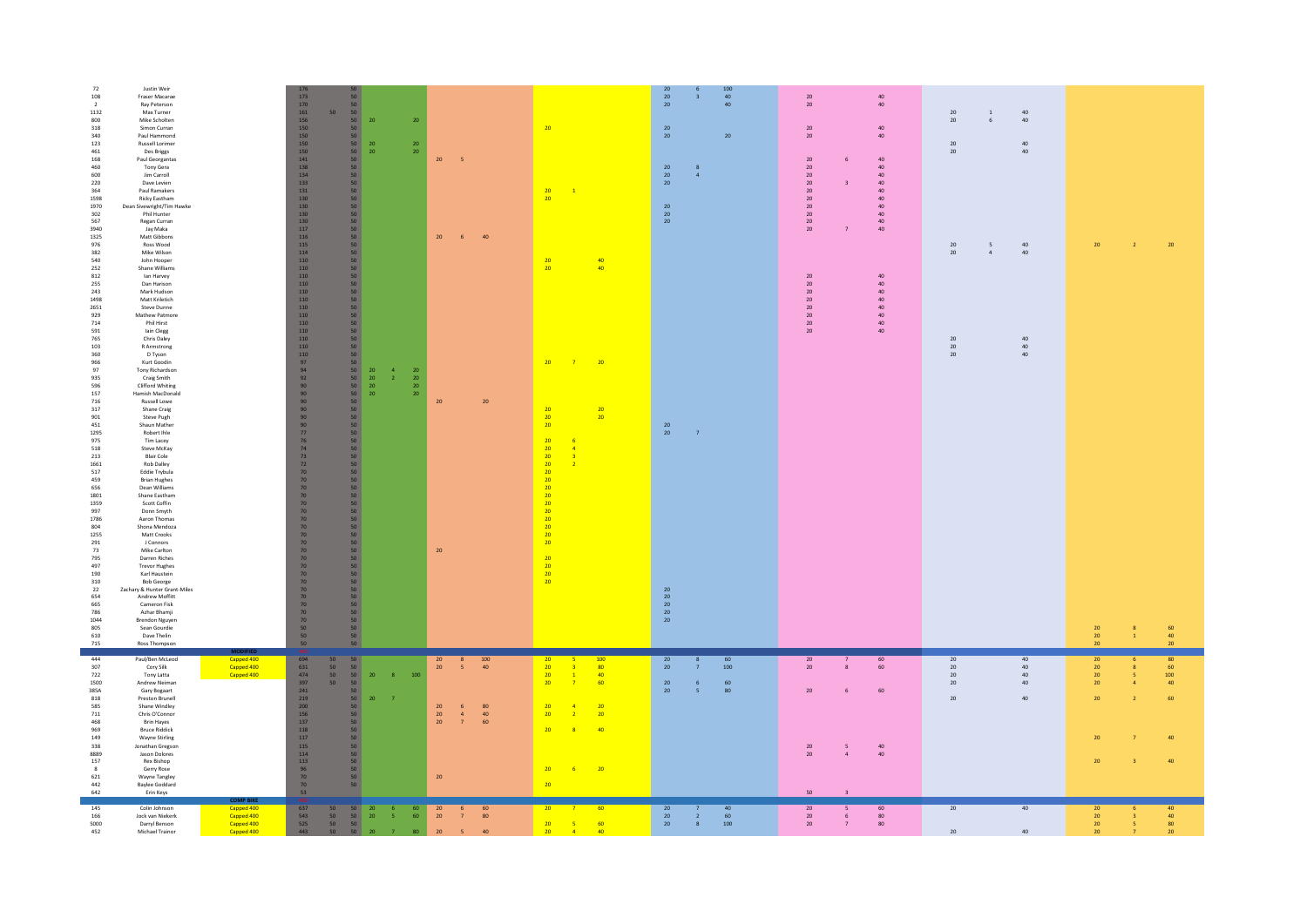| 72<br>108<br>$\overline{2}$<br>1132<br>800<br>$318\,$<br>340<br>123<br>461<br>168<br>460<br>600<br>220<br>$364\,$<br>1598<br>1970<br>302<br>567<br>3940<br>1325<br>976                                                                                                    | Justin Weir<br>Fraser Macarae<br>Ray Peterson<br>Max Turner<br>Mike Scholten<br>Simon Curran<br>Paul Hammond<br>Russell Lorimer<br>Des Briggs<br>Paul Georgantas<br>Tony Gera<br>Jim Carroll<br>Dave Levien<br>Paul Ramakers<br>Ricky Eastham<br>Dean Sivewright/Tim Hawke<br>Phil Hunter<br>Regan Curran<br>Jav Maka<br>Matt Gibbons<br><b>Ross Wood</b>                                                                                                                                                                                                                                                                     |                                                      | $173\,$<br>170<br>$161\,$<br>156<br>150<br>$\begin{array}{c} 150 \\ 150 \end{array}$<br>$\begin{array}{c} 150 \\ 141 \end{array}$<br>$\begin{array}{c} 138 \\ 134 \end{array}$<br>133<br>$131\,$<br>130<br>130<br>130<br>$\begin{array}{c} 130 \\ 117 \end{array}$<br>$\frac{116}{115}$ | $\frac{50}{50}$<br>50<br>50<br>50 <sub>2</sub><br>50<br>50 <sub>2</sub><br>50 <sub>2</sub><br>$\begin{array}{c} 50 \\ 50 \end{array}$<br>$\frac{50}{50}$<br>50<br>${\bf 50}$<br>50 <sub>2</sub><br>$\frac{50}{50}$<br>$\frac{50}{50}$<br>$\frac{50}{50}$                                                                                                                                                                                                                                                      | 20<br>20<br>20 <sup>°</sup>                               | ${\bf 20}$<br>${\bf 20}$<br>20 <sup>°</sup>                                                                 | 20<br>$-5$<br>20<br>$-6$                                                                                  | 40                                 | 20 <sub>2</sub><br>$\frac{20}{20}$                                                                                         | $\mathbf{1}$                                                                                                  |                                                                                          | $\begin{array}{c} 20 \\ 20 \\ 20 \end{array}$<br>20<br>20 <sub>2</sub><br>20<br>20<br>$20\degree$<br>20<br>$20\,$<br>20 <sup>°</sup> | 3 <sup>7</sup><br>$\mathbf{R}$<br>$\overline{a}$         | 100<br>$40\,$<br>40<br>20 <sub>2</sub>         | $20\,$<br>20<br>$20\,$<br>$20\,$<br>20<br>$20\,$<br>$20\,$<br>$20\,$<br>${\bf 20}$<br>$20\,$<br>$20\,$<br>$20\,$<br>20<br>20 | 6<br>$\overline{\mathbf{3}}$<br>$\overline{7}$                  | $40\,$<br>40<br>40<br>40<br>$40\,$<br>40<br>${\bf 40}$<br>$40\,$<br>$40\,$<br>40<br>40<br>40<br>$40\,$<br>40 | 20<br>20<br>$20\,$<br>20<br>20 | $\,$ 1 $\,$<br>$\sf 6$<br>5 | $40\,$<br>$40\,$<br>$40\,$<br>40<br>$40\,$          | 20                                                                          | $\mathbf{2}$                                                 | $20\,$                                  |
|---------------------------------------------------------------------------------------------------------------------------------------------------------------------------------------------------------------------------------------------------------------------------|-------------------------------------------------------------------------------------------------------------------------------------------------------------------------------------------------------------------------------------------------------------------------------------------------------------------------------------------------------------------------------------------------------------------------------------------------------------------------------------------------------------------------------------------------------------------------------------------------------------------------------|------------------------------------------------------|-----------------------------------------------------------------------------------------------------------------------------------------------------------------------------------------------------------------------------------------------------------------------------------------|---------------------------------------------------------------------------------------------------------------------------------------------------------------------------------------------------------------------------------------------------------------------------------------------------------------------------------------------------------------------------------------------------------------------------------------------------------------------------------------------------------------|-----------------------------------------------------------|-------------------------------------------------------------------------------------------------------------|-----------------------------------------------------------------------------------------------------------|------------------------------------|----------------------------------------------------------------------------------------------------------------------------|---------------------------------------------------------------------------------------------------------------|------------------------------------------------------------------------------------------|--------------------------------------------------------------------------------------------------------------------------------------|----------------------------------------------------------|------------------------------------------------|------------------------------------------------------------------------------------------------------------------------------|-----------------------------------------------------------------|--------------------------------------------------------------------------------------------------------------|--------------------------------|-----------------------------|-----------------------------------------------------|-----------------------------------------------------------------------------|--------------------------------------------------------------|-----------------------------------------|
| 382<br>540<br>252<br>812<br>255<br>243<br>1498<br>2651<br>929<br>714<br>591<br>765<br>103<br>$360\,$<br>966<br>97                                                                                                                                                         | Mike Wilson<br>John Hooper<br>Shane Williams<br>lan Harvey<br>Dan Harison<br>Mark Hudson<br>Matt Kriletich<br>Steve Dunne<br>Mathew Patmore<br><b>Phil Hirst</b><br>lain Clegg<br>Chris Daley<br>R Armstrong<br>D Tyson<br>Kurt Goodin<br><b>Tony Richardson</b>                                                                                                                                                                                                                                                                                                                                                              |                                                      | $114\,$<br>$110\,$<br>$110\,$<br>$110\,$<br>$110\,$<br>110<br>110<br>$\begin{array}{c} 110 \\ 110 \end{array}$<br>$\begin{array}{c} 110 \\ 110 \end{array}$<br>$110\,$<br>110<br>110<br>$\begin{array}{c} 97 \\ 94 \end{array}$                                                         | $\frac{50}{50}$<br>50 <sub>2</sub><br>$\frac{50}{50}$<br>$\frac{50}{50}$<br>50<br>50<br>50<br>50<br>50<br>50 <sub>2</sub><br>50 <sub>2</sub><br>$\frac{50}{50}$                                                                                                                                                                                                                                                                                                                                               |                                                           | $\,$ 4 $\,$<br>${\bf 20}$                                                                                   |                                                                                                           |                                    | $\frac{20}{20}$<br>20 <sup>°</sup>                                                                                         | $\overline{z}$                                                                                                | $\frac{40}{40}$<br>$\frac{1}{20}$                                                        |                                                                                                                                      |                                                          |                                                | $20\,$<br>${\bf 20}$<br>$20\,$<br>$20\,$<br>20 <sub>2</sub><br>20<br>$20\,$<br>$20\,$                                        |                                                                 | $40\,$<br>$40\,$<br>$40\,$<br>40<br>$40\,$<br>$40\,$<br>$40\,$<br>40                                         | 20<br>20<br>$20\,$<br>$20\,$   | $\overline{a}$              | 40<br>40<br>$\begin{array}{c} 40 \\ 40 \end{array}$ |                                                                             |                                                              |                                         |
| 935<br>596<br>157<br>716<br>$317\,$<br>901<br>451<br>1295<br>975<br>518<br>213<br>1661<br>$517\,$<br>459<br>656<br>1801<br>1359<br>997<br>1786<br>804<br>1255<br>$\frac{291}{73}$<br>795<br>497<br>190<br>$310\,$<br>22<br>654<br>665<br>786<br>1044<br>805<br>610<br>715 | Craig Smith<br>Clifford Whiting<br>Hamish MacDonald<br>Russell Lowe<br>Shane Craig<br>Steve Pugh<br>Shaun Mather<br>Robert Ihle<br>Tim Lacey<br>Steve McKay<br>Blair Cole<br><b>Rob Dalley</b><br>Eddie Trybula<br><b>Brian Hughes</b><br>Dean Williams<br>Shane Eastham<br>Scott Coffin<br>Donn Smyth<br>Aaron Thomas<br>Shona Mendoza<br>Matt Crooks<br>J Connors<br>Mike Carlton<br>Darren Riches<br><b>Trevor Hughes</b><br>Karl Haustein<br><b>Bob George</b><br>Zachary & Hunter Grant-Miles<br>Andrew Moffitt<br>Cameron Fisk<br>Azhar Bhamji<br><b>Brendon Nguyen</b><br>Sean Gourdie<br>Dave Thelin<br>Ross Thompson |                                                      | 92<br>90<br>90<br>90<br>90<br>90<br>77<br>76<br>$\frac{74}{73}$<br>$\frac{72}{70}$<br>70<br>$\frac{70}{70}$<br>$\frac{70}{70}$<br>70<br>70<br>70<br>70<br>70<br>70<br>70<br>70<br>70<br>70<br>70<br>70<br>70<br>50<br>50<br>50<br>50                                                    | 50<br>50<br>50<br>50<br>50<br>50 <sub>2</sub><br>50 <sub>2</sub><br>$\frac{50}{50}$<br>$\frac{50}{50}$<br>$\begin{array}{c} 50 \\ 50 \\ 50 \end{array}$<br>50 <sub>2</sub><br>50 <sub>2</sub><br>$\frac{50}{50}$<br>$\begin{array}{c} 50 \\ 50 \end{array}$<br>$\begin{array}{c} 50 \\ 50 \\ 50 \end{array}$<br>50 <sub>2</sub><br>50 <sub>2</sub><br>$\frac{50}{50}$<br>$\begin{array}{c} 50 \\ 50 \end{array}$<br>$\begin{array}{c} 50 \\ 50 \\ 50 \end{array}$<br>50 <sub>2</sub><br>50 <sub>2</sub><br>50 | $\begin{array}{c} 20 \\ 20 \\ 20 \\ 20 \\ 20 \end{array}$ | $\begin{array}{c} 20 \\ 20 \\ 20 \\ 20 \end{array}$<br>$\overline{2}$                                       | 20<br>20                                                                                                  | 20                                 | $\begin{array}{r} 20 \\ 20 \\ 20 \end{array}$<br>$\begin{array}{c}\n 20 \\ 20 \\ \hline\n 20 \\ \hline\n 20\n \end{array}$ | $\epsilon$<br>$\overline{4}$<br>3 <sup>°</sup><br>$\overline{2}$                                              | $20\phantom{.0}$<br>20                                                                   | $20\,$<br>20<br>$20\,$<br>$\begin{array}{c} 20 \\ 20 \\ 20 \\ 20 \\ 20 \end{array}$                                                  | $-7$                                                     |                                                |                                                                                                                              |                                                                 |                                                                                                              |                                |                             |                                                     | $\frac{20}{20}$<br>20                                                       | $\,$ 8<br>$\mathbf 1$                                        | $\frac{60}{40}$<br>20                   |
| 444<br>307<br>722<br>1500<br>385A<br>818<br>585<br>$711\,$<br>468<br>969<br>149<br>338<br>8889<br>157<br>8<br>621<br>442<br>642                                                                                                                                           | Paul/Ben McLeod<br>Cory Silk<br>Tony Latta<br>Andrew Neiman<br>Gary Bogaart<br>Preston Brunell<br>Shane Windley<br>Chris O'Connor<br><b>Brin Hayes</b><br><b>Bruce Riddick</b><br>Wayne Stirling<br>Jonathan Gregson<br>Jason Dolores<br>Rex Bishop<br>Gerry Rose<br>Wayne Tangley<br><b>Baylee Goddard</b><br>Erin Keys                                                                                                                                                                                                                                                                                                      | Capped 400<br>Capped 400<br>Capped 400               | 694<br>631<br>$\frac{474}{397}$<br>241<br>$219\,$<br>$200\,$<br>156<br>137<br>$118\,$<br>$117\,$<br>115<br>$114\,$<br>$113\,$<br>96<br>$\frac{70}{70}$<br>53                                                                                                                            | $\begin{array}{c} 50 \\ 50 \end{array}$<br>50<br>50 <sub>2</sub><br>$\frac{50}{50}$<br>$\begin{array}{c} 50 \\ 50 \\ 50 \end{array}$<br>50<br>50<br>50 <sub>2</sub><br>50 <sub>2</sub><br>50 <sub>2</sub><br>50 <sub>2</sub><br>50<br>$50^{\circ}$<br>$\frac{50}{50}$<br>50 <sub>2</sub><br>50                                                                                                                                                                                                                | 20<br>20                                                  | 8<br>100<br>$\overline{z}$                                                                                  | 20<br>$\frac{8}{5}$<br>20 <sub>2</sub><br>$20\,$<br>$\,$ 6<br>$20\,$<br>$\frac{4}{7}$<br>$20\,$<br>$20\,$ | $\frac{100}{40}$<br>80<br>40<br>60 | $\begin{array}{c} 20 \\ 20 \\ 20 \\ 20 \end{array}$<br>$\frac{20}{20}$<br>20 <sub>2</sub><br>20<br>20 <sup>°</sup>         | $\overline{\mathbf{3}}$<br>$\overline{1}$<br>$\overline{4}$<br>$\sqrt{2}$<br>8 <sup>°</sup><br>6 <sup>1</sup> | $\begin{array}{c} 100 \\ 80 \\ 40 \\ 60 \end{array}$<br>20<br>20<br>40<br>$\frac{20}{ }$ | 20<br>20 <sup>°</sup><br>$\frac{20}{20}$                                                                                             | $\overline{7}$<br>$\,$ 6 $\,$<br>$\overline{\mathbf{s}}$ | 60<br>100<br>60<br>80 <sup>°</sup>             | $\frac{20}{20}$<br>20<br>20<br>20<br>50                                                                                      | $\mathbf{8}$<br>6<br>$\overline{\phantom{a}}$<br>$\overline{a}$ | 60<br>60<br>60<br>$\frac{40}{40}$                                                                            | 20<br>20<br>20<br>20<br>20     |                             | 40<br>$40\,$<br>$40\,$<br>$40\,$<br>40              | 20<br>20 <sub>2</sub><br>$\frac{20}{20}$<br>$20\,$<br>$\overline{20}$<br>20 | 8<br>5<br>$\overline{4}$<br>$\overline{z}$<br>$\overline{3}$ | 80<br>60<br>100<br>40<br>60<br>40<br>40 |
| 145<br>166<br>5000<br>452                                                                                                                                                                                                                                                 | Colin Johnson<br>Jock van Niekerk<br>Darryl Benson<br>Michael Trainor                                                                                                                                                                                                                                                                                                                                                                                                                                                                                                                                                         | Capped 400<br>Capped 400<br>Capped 400<br>Capped 400 | 637<br>543<br>525<br>443                                                                                                                                                                                                                                                                |                                                                                                                                                                                                                                                                                                                                                                                                                                                                                                               |                                                           | $\begin{array}{cccccc} 50 & 50 & 20 & 6 & 60 \\ 50 & 50 & 20 & 5 & 60 \\ 50 & 50 & 20 & 7 & 80 \end{array}$ | $\frac{20}{20}$<br>$\overline{7}$<br>20<br>$\overline{\mathbf{s}}$                                        | $\frac{60}{80}$<br>40 <sup>°</sup> | 20 <sub>2</sub><br>$\begin{array}{ c } \hline 20 \\ \hline 20 \\ \hline \end{array}$                                       | -7<br>$\frac{5}{4}$                                                                                           | 60<br>$\frac{60}{40}$                                                                    | 20<br>20<br>20                                                                                                                       | $\overline{2}$<br>$\,$ 8 $\,$                            | $\begin{array}{c} 40 \\ 60 \end{array}$<br>100 | 20<br>20<br>20                                                                                                               | 6<br>7 <sup>7</sup>                                             | $\begin{array}{c} 60 \\ 80 \\ 80 \end{array}$                                                                | 20<br>20                       |                             | 40<br>40                                            | 20<br>20 <sup>°</sup><br>${\bf 20}$<br>20                                   |                                                              | 40<br>40<br>80<br>20                    |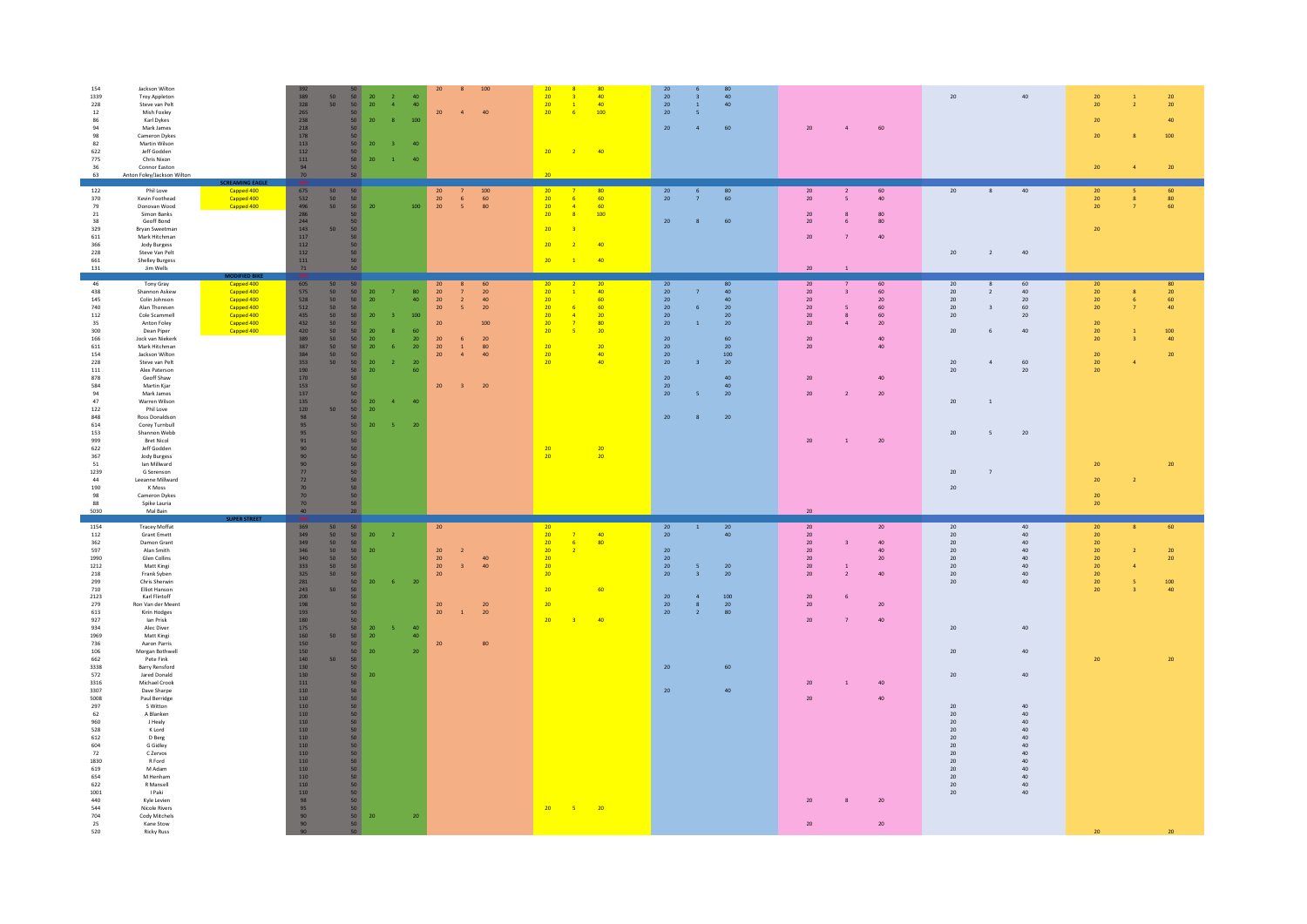| 154<br>Jackson Wilton<br>1339<br><b>Troy Appleton</b><br>228<br>Steve van Pelt<br>12<br>Mish Foxley<br>Karl Dykes<br>86<br>94<br>Mark James<br>98<br>Cameron Dykes<br>82<br>Martin Wilson<br>622<br>Jeff Godden<br>775<br>Chris Nixon<br>36<br>Connor Easton<br>63<br>Anton Foley/Jackson Wilton                                                                                                                                                                                                                                                                                                                                                                                                                                                                                                                                                                                                                          | 100<br>20<br>$\bf 8$<br>389<br>328<br>$\frac{50}{50}$<br>$\begin{array}{c} 50 \\ 50 \end{array}$<br>$\frac{20}{20}$<br>$\overline{2}$<br>$40\,$<br>$\overline{4}$<br>40<br>$\begin{array}{c} 50 \\ 50 \end{array}$<br>20<br>$\overline{4}$<br>40<br>$\frac{265}{238}$<br>20<br>100<br>8<br>218<br>50<br>178<br>50 <sub>2</sub><br>20<br>113<br>50<br>$\overline{\mathbf{3}}$<br>40<br>$112\,$<br>$50\,$<br>$111\,$<br>50<br>20<br>$\mathbf{1}$<br>40<br>94<br>50<br>70<br>50                                                                                                                                                                                                                                                                                                                                                                                                                                                                                                                                                                                                                                                                                                                                           | 20<br>80<br>20<br>20 <sup>°</sup><br>40<br>20<br>40 <sup>°</sup><br>$\overline{\mathbf{3}}$<br>$\overline{\mathbf{3}}$<br>20 <sup>°</sup><br>40<br>20 <sup>°</sup><br>40 <sup>°</sup><br>$\overline{1}$<br>$\blacksquare$<br>20 <sup>°</sup><br>100<br>20<br>$-6$<br>5 <sup>1</sup><br>20<br>$\overline{4}$<br>60<br>20<br>$\overline{2}$<br>40<br>20                                                                                                                                                                                                                     | $20\,$<br>40<br>60<br>20<br>$\overline{4}$                                                                                                                                                                                                                                                                                                                                                                                                                                                                                                                                                                                    | $20\,$<br>20 <sup>°</sup><br>$20\,$<br>$20\,$<br>40<br>20<br>20<br>100<br>20 <sup>°</sup><br>$20\,$<br>$\overline{4}$                                                                                                                                                                                            |
|---------------------------------------------------------------------------------------------------------------------------------------------------------------------------------------------------------------------------------------------------------------------------------------------------------------------------------------------------------------------------------------------------------------------------------------------------------------------------------------------------------------------------------------------------------------------------------------------------------------------------------------------------------------------------------------------------------------------------------------------------------------------------------------------------------------------------------------------------------------------------------------------------------------------------|------------------------------------------------------------------------------------------------------------------------------------------------------------------------------------------------------------------------------------------------------------------------------------------------------------------------------------------------------------------------------------------------------------------------------------------------------------------------------------------------------------------------------------------------------------------------------------------------------------------------------------------------------------------------------------------------------------------------------------------------------------------------------------------------------------------------------------------------------------------------------------------------------------------------------------------------------------------------------------------------------------------------------------------------------------------------------------------------------------------------------------------------------------------------------------------------------------------------|---------------------------------------------------------------------------------------------------------------------------------------------------------------------------------------------------------------------------------------------------------------------------------------------------------------------------------------------------------------------------------------------------------------------------------------------------------------------------------------------------------------------------------------------------------------------------|-------------------------------------------------------------------------------------------------------------------------------------------------------------------------------------------------------------------------------------------------------------------------------------------------------------------------------------------------------------------------------------------------------------------------------------------------------------------------------------------------------------------------------------------------------------------------------------------------------------------------------|------------------------------------------------------------------------------------------------------------------------------------------------------------------------------------------------------------------------------------------------------------------------------------------------------------------|
| 122<br>Phil Love<br>Capped 400<br>370<br>Capped 400<br>Kevin Foothead<br>Capped 400<br>79<br>Donovan Wood<br>$21\,$<br>Simon Banks<br>38<br>Geoff Bond<br>329<br>Bryan Sweetman<br>611<br>Mark Hitchman<br>366<br>Jody Burgess<br>228<br>Steve Van Pelt<br>661<br><b>Shelley Burgess</b><br>131<br>Jim Wells                                                                                                                                                                                                                                                                                                                                                                                                                                                                                                                                                                                                              | $\frac{675}{532}$<br>50<br>$\begin{array}{c} 50 \\ 50 \end{array}$<br>$\begin{array}{c} 20 \\ 20 \\ 20 \end{array}$<br>$\begin{array}{c} 100 \\ 60 \\ 80 \end{array}$<br>50<br>6<br>50<br>496<br>50 <sub>1</sub><br>20<br>100<br>$\sim$<br>286<br>50<br>244<br>50 <sub>2</sub><br>143<br>50<br>50 <sub>2</sub><br>117<br>50 <sub>2</sub><br>112<br>50 <sub>2</sub><br>112<br>50<br>$111$<br>50<br>50<br>71                                                                                                                                                                                                                                                                                                                                                                                                                                                                                                                                                                                                                                                                                                                                                                                                             | $\frac{20}{20}$<br>$\begin{array}{c} 80 \\ 60 \end{array}$<br>20<br>80<br>20 <sup>°</sup><br>60<br>$-6$<br>60<br>20<br>$\overline{4}$<br>20<br>100<br>$\overline{\mathbf{8}}$<br>$20\,$<br>60<br>$\bf{8}$<br>20<br>40<br>20<br>20 <sup>°</sup><br>40<br>$\overline{1}$                                                                                                                                                                                                                                                                                                    | 40<br>20<br>20<br>60<br>8<br>40<br>20 <sub>2</sub><br>$\overline{\phantom{a}}$<br>20<br>$\mathbf{R}$<br>80<br>$20\,$<br>$80\,$<br>$\epsilon$<br>$40\,$<br>$20\,$<br>20<br>40<br>$\overline{2}$<br>20<br>$\overline{1}$                                                                                                                                                                                                                                                                                                                                                                                                        | $\frac{20}{20}$<br>60<br>80<br>$20\,$<br>60<br>$20\,$                                                                                                                                                                                                                                                            |
| MODIFIED BIKE<br>46<br>Tony Gray<br>Capped 400<br>438<br>Shannon Askew<br>Capped 400<br>145<br>Colin Johnson<br>Capped 400<br>740<br>Alan Thoresen<br>Capped 400<br>Capped 400<br>112<br>Cole Scammell<br>Capped 400<br>Anton Foley<br>35<br>Capped 400<br>Dean Piper<br>300<br>166<br>Jock van Niekerk<br>611<br>Mark Hitchman<br>154<br>Jackson Wilton<br>228<br>Steve van Pelt<br>$111\,$<br>Alex Paterson<br>878<br>Geoff Shaw<br>584<br>Martin Kjar<br>94<br>Mark James<br>47<br>Warren Wilson<br>122<br>Phil Love<br>Ross Donaldson<br>848<br>614<br>Corey Turnbull<br>153<br>Shannon Webb<br>999<br><b>Bret Nicol</b><br>622<br>Jeff Godden<br>367<br><b>Jody Burgess</b><br>51<br>Ian Millward<br>1239<br>G Sorenson<br>44<br>Leeanne Millward<br>190<br>K Moss<br>98<br>Cameron Dykes<br>88<br>Spike Lauria<br>5030<br>Mal Bain                                                                                  | 605<br>50<br>50<br>20<br>60<br>575<br>528<br>$50\,$<br>$50\,$<br>20<br>${\bf 80}$<br>${\bf 20}$<br>20<br>$\overline{7}$<br>$\overline{7}$<br>50 <sub>2</sub><br>50<br>20<br>40<br>${\bf 20}$<br>$\overline{2}$<br>40<br>512<br>50<br>50 <sub>2</sub><br>20<br>20<br>$\overline{\phantom{0}}$<br>435<br>50<br>50 <sub>2</sub><br>${\bf 20}$<br>100<br>432<br>20<br>$\frac{50}{50}$<br>100<br>50<br>420<br>50 <sup>°</sup><br>20<br>60<br>50<br>389<br>20<br>20<br>50<br>20<br>20<br>6<br>50<br>387<br>50<br>${\bf 20}$<br>20<br>-6<br>20<br>$\,$ $\,$ $\,$<br>80<br>50<br>$20\,$<br>384<br>50<br>$\mathbf{A}$<br>40<br>50<br>353<br>50<br>${\bf 20}$<br>${\bf 20}$<br>$\overline{2}$<br>190<br>50<br>$20\,$<br>60<br>170<br>50<br>153<br>50<br>$20\,$<br>$\overline{\mathbf{3}}$<br>20<br>137<br>50<br>135<br>$\frac{20}{20}$<br>50<br>$\overline{4}$<br>40<br>50 <sup>°</sup><br>120<br>50<br>98<br>$\begin{array}{c} 50 \\ 50 \end{array}$<br>20<br>$-5$<br>20<br>95<br>95<br>50 <sub>2</sub><br>91<br>50 <sub>2</sub><br>50 <sub>2</sub><br>90<br>90<br>50 <sub>2</sub><br>$\begin{array}{c} 50 \\ 50 \end{array}$<br>90<br>77<br>50 <sup>°</sup><br>72<br>50<br>70<br>50<br>70<br>70<br>50<br>40<br>20 <sub>1</sub> | 20<br>$20\phantom{.0}$<br>20<br>80<br>20<br>40<br>$20\,$<br>40<br>$\overline{1}$<br>20<br>60<br>$20\,$<br>40<br>20<br>$-6$<br>60<br>20<br>$20\,$<br>6<br>20<br>20<br>$20\,$<br>20 <sub>2</sub><br>$\overline{4}$<br>20<br>80<br>20<br>$\mathbf{1}$<br>20<br>$\overline{7}$<br>20<br>20<br>5<br>20<br>60<br>$\frac{20}{20}$<br>20<br>20<br>20<br>40<br>20<br>100<br>20<br>40<br>$20\,$<br>20<br>$\overline{\mathbf{3}}$<br>20 <sup>°</sup><br>40 <sup>°</sup><br>${\bf 20}$<br>40<br>20<br>5 <sup>1</sup><br>20<br>20<br>$\mathbf{R}$<br>20<br>20<br>$\frac{20}{20}$<br>20 | 20<br>$60\,$<br>20<br>60<br>8<br>$20\,$<br>$60\,$<br>20<br>$\overline{2}$<br>$40\,$<br>$\overline{\mathbf{3}}$<br>$20\,$<br>20<br>20<br>$20\,$<br>$20\,$<br>60<br>20<br>60<br>$\overline{\phantom{a}}$<br>$\overline{\mathbf{3}}$<br>60<br>$20\,$<br>20<br>20<br>8<br>20 <sup>°</sup><br>20<br>$\mathbf{A}$<br>20<br>40<br>6<br>40<br>20<br>20<br>40<br>$20\,$<br>60<br>$\sqrt{4}$<br>20<br>$20\,$<br>$40\,$<br>$20\,$<br>20<br>$\overline{2}$<br>20<br>20<br><sup>1</sup><br>20<br>$\overline{\phantom{a}}$<br>20<br>$20\,$<br>$20\,$<br>$\mathbf{1}$<br>20<br>$\overline{7}$<br>20<br>$20\,$                                | 20<br>80<br>${\bf 20}$<br>20 <sub>2</sub><br>${\bf 20}$<br>60<br>$20\,$<br>40<br>$\overline{7}$<br>20<br>100<br>$\frac{20}{20}$<br>40<br>$\overline{\mathbf{3}}$<br>$20\,$<br>20 <sup>°</sup><br>${\bf 20}$<br>$\overline{a}$<br>${\bf 20}$<br>20 <sup>°</sup><br>20<br>20<br>$\overline{2}$<br>$20\,$<br>$20\,$ |
| 1154<br><b>Tracey Moffat</b><br>112<br><b>Grant Emett</b><br>Damon Grant<br>362<br>597<br>Alan Smith<br>1990<br>Glen Collins<br>1212<br>Matt Kingi<br>218<br>Frank Syben<br>299<br>Chris Sherwin<br>710<br>Elliot Hanson<br>Karl Flintoff<br>2123<br>Ron Van der Meent<br>279<br>Kirin Hodges<br>613<br>927<br>lan Prisk<br>Alec Diver<br>934<br>1969<br>Matt Kingi<br>736<br>Aaron Parris<br>106<br>Morgan Bothwell<br>662<br>Pete Fink<br><b>Barry Rensford</b><br>3338<br>572<br>Jared Donald<br>Michael Crook<br>3316<br>Dave Sharpe<br>3307<br>5008<br>Paul Berridge<br>297<br>S Witton<br>62<br>A Blanken<br>960<br>J Healy<br>528<br>K Lord<br>612<br>D Berg<br>604<br>G Gidley<br>72<br>C Zervos<br>1830<br>R Ford<br>619<br>M Adam<br>654<br>M Henham<br>622<br>R Mansell<br>1001<br>I Paki<br>440<br>Kyle Levien<br>544<br>Nicole Rivers<br>704<br>Cody Mitchels<br>Kane Stow<br>25<br>520<br><b>Ricky Russ</b> | 369<br>50<br>50<br>20<br>349<br>349<br>50<br>50<br>20<br>$\overline{2}$<br>50<br>50<br>346<br>50<br>50 <sup>1</sup><br>20<br>20<br>$\overline{2}$<br>340<br>50<br>50<br>$\frac{20}{20}$<br>40<br>333<br>50<br>50<br>$\overline{3}$<br>40<br>50 <sub>2</sub><br>325<br>50 <sub>2</sub><br>${\bf 20}$<br>281<br>50<br>20<br>$-6$<br>${\bf 20}$<br>243<br>50 <sub>2</sub><br>50 <sub>2</sub><br>200<br>50<br>$\begin{array}{c} 198 \\ 193 \end{array}$<br>$\frac{20}{20}$<br>20<br>50<br>$\,$ $\,$<br>20<br>50<br>180<br>50<br>$175\,$<br>$\frac{50}{50}$<br>20<br>5<br>40<br>160<br>50<br>20<br>40 <sup>°</sup><br>150<br>$50\,$<br>$20\,$<br>80<br>50 <sub>1</sub><br>150<br>20<br>${\bf 20}$<br>140<br>50<br>50 <sub>2</sub><br>130<br>50 <sub>2</sub><br>130<br>50<br>20<br>$\overline{111}$<br>50<br>50<br>110<br>110<br>50<br>110<br>50<br>$\begin{array}{c} 50 \\ 50 \end{array}$<br>110<br>110<br>110<br>50<br>50<br>110<br>$\begin{array}{c} 50 \\ 50 \end{array}$<br>110<br>110<br>50 <sup>°</sup><br>110<br>$\frac{50}{50}$<br>110<br>110<br>${\bf 50}$<br>$110\,$<br>50<br>110<br>$98\,$<br>50<br>95<br>50 <sub>2</sub><br>90<br>50<br>20<br>20<br>90<br>50<br>50                                             | $20\,$<br>$20\,$<br>20<br>$\begin{array}{r} 20 \\ 20 \\ 20 \end{array}$<br>40<br>20 <sup>°</sup><br>40<br>$\overline{7}$<br>80<br>$-6$<br>$\frac{1}{2}$<br>20<br>$\overline{20}$<br>20<br>20<br>20<br>20<br>5 <sup>1</sup><br>20<br>20<br>$\overline{3}$<br>$20\,$<br>20<br>60<br>$20\,$<br>100<br>20<br>20 <sup>°</sup><br>20<br>8<br>80 <sup>°</sup><br>20 <sub>2</sub><br>$\overline{2}$<br>20<br>40<br>$\overline{\mathbf{3}}$<br>$20\,$<br>60<br>20 <sup>°</sup><br>40<br>$5 \t 20$<br>$20 -$                                                                        | 20<br>$20\,$<br>$20\,$<br>40<br>20<br>40<br>20<br>40 <sup>°</sup><br>20<br>$\overline{\mathbf{3}}$<br>20<br>40<br>20<br>20<br>40<br>40<br>20<br>$20\,$<br>20<br>40<br>20<br>$\mathbf{1}$<br>20<br>40<br>$20\,$<br>$\overline{2}$<br>$40\,$<br>$20\,$<br>$40\,$<br>20<br>40<br>$20\,$<br>20<br>20<br>40<br>20<br>$\overline{7}$<br>20<br>40<br>20<br>$40\,$<br>20<br>40<br>40<br>20<br>$\overline{1}$<br>40<br>20<br>20<br>$40-1$<br>20<br>$40\,$<br>20<br>$40\,$<br>$20\,$<br>40<br>20<br>40<br>40<br>20<br>20<br>40<br>20<br>40<br>20<br>40 <sup>1</sup><br>20<br>40<br>20<br>40<br>20<br>$40\,$<br>$20\,$<br>20<br>20<br>20 | 60<br>20<br>20<br>20<br>$20\,$<br>20<br>$\overline{2}$<br>${\bf 20}$<br>20<br>${\bf 20}$<br>$\mathbf{A}$<br>${\bf 20}$<br>${\bf 20}$<br>100<br>$\overline{\mathbf{5}}$<br>$20\,$<br>40 <sup>°</sup><br>$\overline{\mathbf{3}}$<br>$20\,$<br>20 <sup>°</sup><br>20                                                |